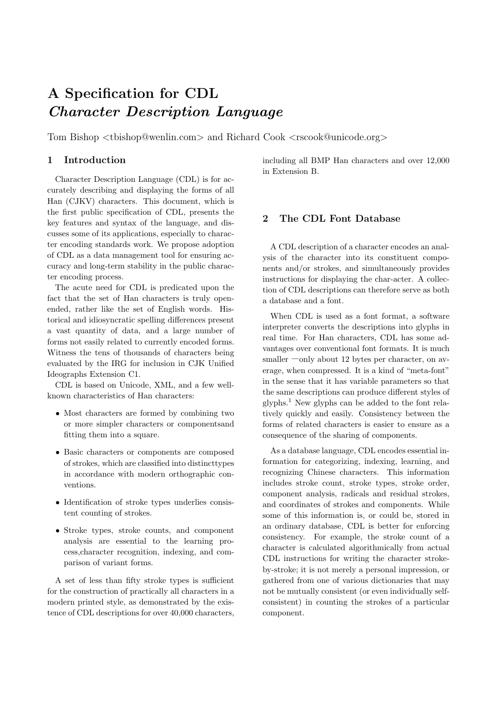# **A Specification for CDL** *Character Description Language*

Tom Bishop *<*tbishop@wenlin.com*>* and Richard Cook *<*rscook@unicode.org*>*

#### **1 Introduction**

Character Description Language (CDL) is for accurately describing and displaying the forms of all Han (CJKV) characters. This document, which is the first public specification of CDL, presents the key features and syntax of the language, and discusses some of its applications, especially to character encoding standards work. We propose adoption of CDL as a data management tool for ensuring accuracy and long-term stability in the public character encoding process.

The acute need for CDL is predicated upon the fact that the set of Han characters is truly openended, rather like the set of English words. Historical and idiosyncratic spelling differences present a vast quantity of data, and a large number of forms not easily related to currently encoded forms. Witness the tens of thousands of characters being evaluated by the IRG for inclusion in CJK Unified Ideographs Extension C1.

CDL is based on Unicode, XML, and a few wellknown characteristics of Han characters:

- Most characters are formed by combining two or more simpler characters or componentsand fitting them into a square.
- *•* Basic characters or components are composed of strokes, which are classified into distincttypes in accordance with modern orthographic conventions.
- Identification of stroke types underlies consistent counting of strokes.
- *•* Stroke types, stroke counts, and component analysis are essential to the learning process,character recognition, indexing, and comparison of variant forms.

A set of less than fifty stroke types is sufficient for the construction of practically all characters in a modern printed style, as demonstrated by the existence of CDL descriptions for over 40,000 characters,

including all BMP Han characters and over 12,000 in Extension B.

### **2 The CDL Font Database**

A CDL description of a character encodes an analysis of the character into its constituent components and/or strokes, and simultaneously provides instructions for displaying the char-acter. A collection of CDL descriptions can therefore serve as both a database and a font.

When CDL is used as a font format, a software interpreter converts the descriptions into glyphs in real time. For Han characters, CDL has some advantages over conventional font formats. It is much smaller —only about 12 bytes per character, on average, when compressed. It is a kind of "meta-font" in the sense that it has variable parameters so that the same descriptions can produce different styles of glyphs.<sup>1</sup> New glyphs can be added to the font relatively quickly and easily. Consistency between the forms of related characters is easier to ensure as a consequence of the sharing of components.

As a database language, CDL encodes essential information for categorizing, indexing, learning, and recognizing Chinese characters. This information includes stroke count, stroke types, stroke order, component analysis, radicals and residual strokes, and coordinates of strokes and components. While some of this information is, or could be, stored in an ordinary database, CDL is better for enforcing consistency. For example, the stroke count of a character is calculated algorithmically from actual CDL instructions for writing the character strokeby-stroke; it is not merely a personal impression, or gathered from one of various dictionaries that may not be mutually consistent (or even individually selfconsistent) in counting the strokes of a particular component.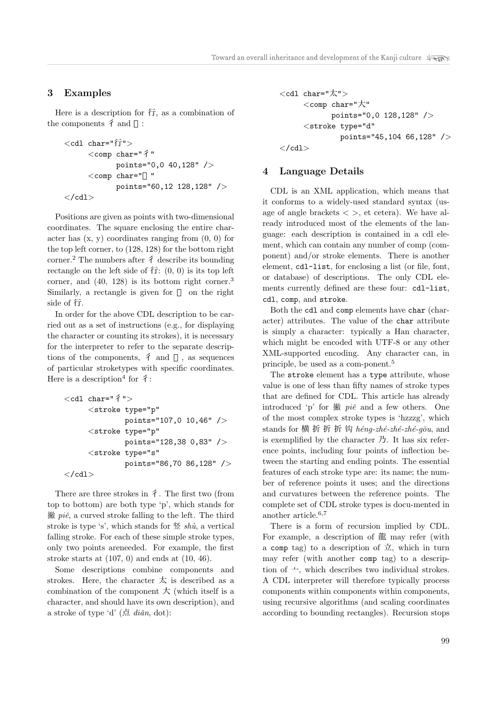### **3 Examples**

Here is a description for 行, as a combination of the components  $\hat{f}$  and :

```
<cdl char="行">
     <comp char="彳"
           points="0,0 40,128" />
     <comp char=" "
           points="60,12 128,128" />
</cdl>
```
Positions are given as points with two-dimensional coordinates. The square enclosing the entire character has  $(x, y)$  coordinates ranging from  $(0, 0)$  for the top left corner, to (128, 128) for the bottom right corner.<sup>2</sup> The numbers after  $\hat{\tau}$  describe its bounding rectangle on the left side of  $\overline{f}$ :  $(0, 0)$  is its top left corner, and  $(40, 128)$  is its bottom right corner.<sup>3</sup> Similarly, a rectangle is given for on the right side of 行.

In order for the above CDL description to be carried out as a set of instructions (e.g., for displaying the character or counting its strokes), it is necessary for the interpreter to refer to the separate descriptions of the components,  $\hat{f}$  and , as sequences of particular stroketypes with specific coordinates. Here is a description<sup>4</sup> for  $\hat{7}$ :

```
<cdl char="彳">
     <stroke type="p"
             points="107,0 10,46" />
     <stroke type="p"
             points="128,38 0,83" />
     <stroke type="s"
             points="86,70 86,128" />
</cdl>
```
There are three strokes in  $\hat{f}$ . The first two (from top to bottom) are both type 'p', which stands for 撇 *pi*ĕ, a curved stroke falling to the left. The third stroke is type 's', which stands for  $\mathcal{L}$  *shù*, a vertical falling stroke. For each of these simple stroke types, only two points areneeded. For example, the first stroke starts at  $(107, 0)$  and ends at  $(10, 46)$ .

Some descriptions combine components and strokes. Here, the character  $\overline{X}$  is described as a combination of the component  $\pm$  (which itself is a character, and should have its own description), and a stroke of type 'd'  $(\mathbb{A} \text{ } di\check{a}n, \text{ dot})$ :

```
<cdl char="太">
     <comp char="大"
           points="0,0 128,128" />
     <stroke type="d"
             points="45,104 66,128" />
</cdl>
```
#### **4 Language Details**

CDL is an XML application, which means that it conforms to a widely-used standard syntax (usage of angle brackets  $\langle \rangle$ , et cetera). We have already introduced most of the elements of the language: each description is contained in a cdl element, which can contain any number of comp (component) and/or stroke elements. There is another element, cdl-list, for enclosing a list (or file, font, or database) of descriptions. The only CDL elements currently defined are these four: cdl-list, cdl, comp, and stroke.

Both the cdl and comp elements have char (character) attributes. The value of the char attribute is simply a character: typically a Han character, which might be encoded with UTF-8 or any other XML-supported encoding. Any character can, in principle, be used as a com-ponent.<sup>5</sup>

The stroke element has a type attribute, whose value is one of less than fifty names of stroke types that are defined for CDL. This article has already introduced 'p' for 撇 *piˇe* and a few others. One of the most complex stroke types is 'hzzzg', which stands for 横 折 折 折 钩 *héng-zhé-zhé-zhé-gōu*, and is exemplified by the character  $\mathcal{D}$ . It has six reference points, including four points of inflection between the starting and ending points. The essential features of each stroke type are: its name; the number of reference points it uses; and the directions and curvatures between the reference points. The complete set of CDL stroke types is docu-mented in another article.<sup>6</sup>*,*<sup>7</sup>

There is a form of recursion implied by CDL. For example, a description of 龍 may refer (with a comp tag) to a description of  $\overrightarrow{\mathcal{L}}$ , which in turn may refer (with another comp tag) to a description of  $\rightarrow$ , which describes two individual strokes. A CDL interpreter will therefore typically process components within components within components, using recursive algorithms (and scaling coordinates according to bounding rectangles). Recursion stops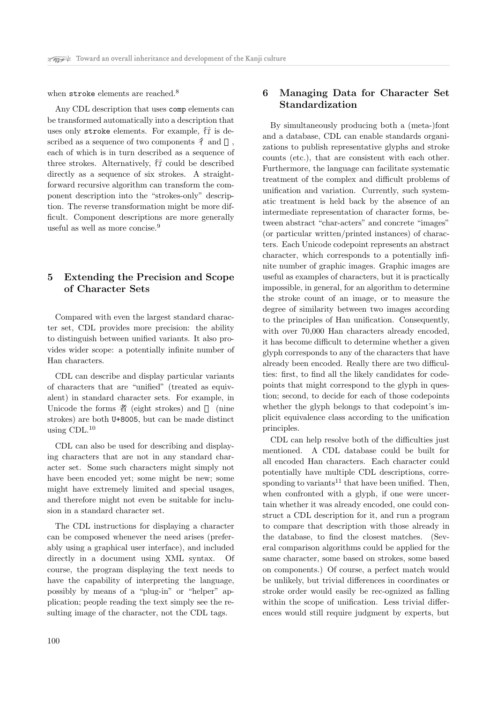when stroke elements are reached.<sup>8</sup>

Any CDL description that uses comp elements can be transformed automatically into a description that uses only stroke elements. For example, 行 is described as a sequence of two components  $\hat{f}$  and each of which is in turn described as a sequence of three strokes. Alternatively, 行 could be described directly as a sequence of six strokes. A straightforward recursive algorithm can transform the component description into the "strokes-only" description. The reverse transformation might be more difficult. Component descriptions are more generally useful as well as more concise.<sup>9</sup>

## **5 Extending the Precision and Scope of Character Sets**

Compared with even the largest standard character set, CDL provides more precision: the ability to distinguish between unified variants. It also provides wider scope: a potentially infinite number of Han characters.

CDL can describe and display particular variants of characters that are "unified" (treated as equivalent) in standard character sets. For example, in Unicode the forms 者 (eight strokes) and (nine strokes) are both U+8005, but can be made distinct using  $CDL<sup>10</sup>$ 

CDL can also be used for describing and displaying characters that are not in any standard character set. Some such characters might simply not have been encoded yet; some might be new; some might have extremely limited and special usages, and therefore might not even be suitable for inclusion in a standard character set.

The CDL instructions for displaying a character can be composed whenever the need arises (preferably using a graphical user interface), and included directly in a document using XML syntax. Of course, the program displaying the text needs to have the capability of interpreting the language, possibly by means of a "plug-in" or "helper" application; people reading the text simply see the resulting image of the character, not the CDL tags.

## **6 Managing Data for Character Set Standardization**

By simultaneously producing both a (meta-)font and a database, CDL can enable standards organizations to publish representative glyphs and stroke counts (etc.), that are consistent with each other. Furthermore, the language can facilitate systematic treatment of the complex and difficult problems of unification and variation. Currently, such systematic treatment is held back by the absence of an intermediate representation of character forms, between abstract "char-acters" and concrete "images" (or particular written/printed instances) of characters. Each Unicode codepoint represents an abstract character, which corresponds to a potentially infinite number of graphic images. Graphic images are useful as examples of characters, but it is practically impossible, in general, for an algorithm to determine the stroke count of an image, or to measure the degree of similarity between two images according to the principles of Han unification. Consequently, with over 70,000 Han characters already encoded, it has become difficult to determine whether a given glyph corresponds to any of the characters that have already been encoded. Really there are two difficulties: first, to find all the likely candidates for codepoints that might correspond to the glyph in question; second, to decide for each of those codepoints whether the glyph belongs to that codepoint's implicit equivalence class according to the unification principles.

CDL can help resolve both of the difficulties just mentioned. A CDL database could be built for all encoded Han characters. Each character could potentially have multiple CDL descriptions, corresponding to variants<sup>11</sup> that have been unified. Then, when confronted with a glyph, if one were uncertain whether it was already encoded, one could construct a CDL description for it, and run a program to compare that description with those already in the database, to find the closest matches. (Several comparison algorithms could be applied for the same character, some based on strokes, some based on components.) Of course, a perfect match would be unlikely, but trivial differences in coordinates or stroke order would easily be rec-ognized as falling within the scope of unification. Less trivial differences would still require judgment by experts, but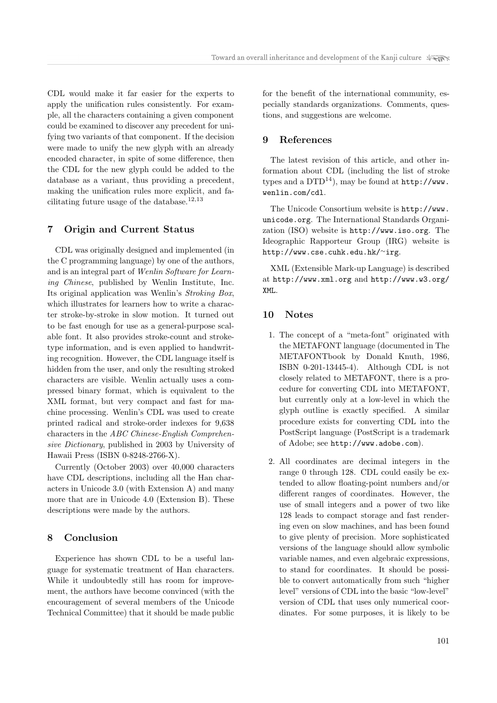CDL would make it far easier for the experts to apply the unification rules consistently. For example, all the characters containing a given component could be examined to discover any precedent for unifying two variants of that component. If the decision were made to unify the new glyph with an already encoded character, in spite of some difference, then the CDL for the new glyph could be added to the database as a variant, thus providing a precedent, making the unification rules more explicit, and facilitating future usage of the database.<sup>12</sup>*,*<sup>13</sup>

## **7 Origin and Current Status**

CDL was originally designed and implemented (in the C programming language) by one of the authors, and is an integral part of *Wenlin Software for Learning Chinese*, published by Wenlin Institute, Inc. Its original application was Wenlin's *Stroking Box*, which illustrates for learners how to write a character stroke-by-stroke in slow motion. It turned out to be fast enough for use as a general-purpose scalable font. It also provides stroke-count and stroketype information, and is even applied to handwriting recognition. However, the CDL language itself is hidden from the user, and only the resulting stroked characters are visible. Wenlin actually uses a compressed binary format, which is equivalent to the XML format, but very compact and fast for machine processing. Wenlin's CDL was used to create printed radical and stroke-order indexes for 9,638 characters in the *ABC Chinese-English Comprehensive Dictionary*, published in 2003 by University of Hawaii Press (ISBN 0-8248-2766-X).

Currently (October 2003) over 40,000 characters have CDL descriptions, including all the Han characters in Unicode 3.0 (with Extension A) and many more that are in Unicode 4.0 (Extension B). These descriptions were made by the authors.

#### **8 Conclusion**

Experience has shown CDL to be a useful language for systematic treatment of Han characters. While it undoubtedly still has room for improvement, the authors have become convinced (with the encouragement of several members of the Unicode Technical Committee) that it should be made public

for the benefit of the international community, especially standards organizations. Comments, questions, and suggestions are welcome.

## **9 References**

The latest revision of this article, and other information about CDL (including the list of stroke types and a  $DTD^{14}$ , may be found at  $http://www.$ wenlin.com/cdl.

The Unicode Consortium website is http://www. unicode.org. The International Standards Organization (ISO) website is http://www.iso.org. The Ideographic Rapporteur Group (IRG) website is http://www.cse.cuhk.edu.hk/*∼*irg.

XML (Extensible Mark-up Language) is described at http://www.xml.org and http://www.w3.org/ XML.

## **10 Notes**

- 1. The concept of a "meta-font" originated with the METAFONT language (documented in The METAFONTbook by Donald Knuth, 1986, ISBN 0-201-13445-4). Although CDL is not closely related to METAFONT, there is a procedure for converting CDL into METAFONT, but currently only at a low-level in which the glyph outline is exactly specified. A similar procedure exists for converting CDL into the PostScript language (PostScript is a trademark of Adobe; see http://www.adobe.com).
- 2. All coordinates are decimal integers in the range 0 through 128. CDL could easily be extended to allow floating-point numbers and/or different ranges of coordinates. However, the use of small integers and a power of two like 128 leads to compact storage and fast rendering even on slow machines, and has been found to give plenty of precision. More sophisticated versions of the language should allow symbolic variable names, and even algebraic expressions, to stand for coordinates. It should be possible to convert automatically from such "higher level" versions of CDL into the basic "low-level" version of CDL that uses only numerical coordinates. For some purposes, it is likely to be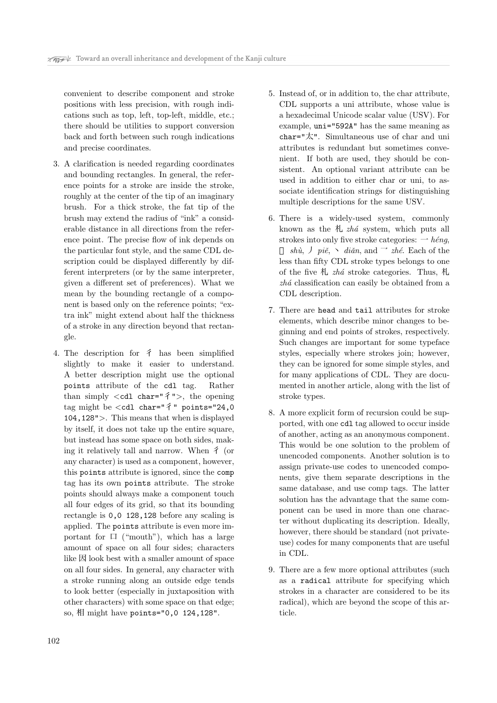convenient to describe component and stroke positions with less precision, with rough indications such as top, left, top-left, middle, etc.; there should be utilities to support conversion back and forth between such rough indications and precise coordinates.

- 3. A clarification is needed regarding coordinates and bounding rectangles. In general, the reference points for a stroke are inside the stroke, roughly at the center of the tip of an imaginary brush. For a thick stroke, the fat tip of the brush may extend the radius of "ink" a considerable distance in all directions from the reference point. The precise flow of ink depends on the particular font style, and the same CDL description could be displayed differently by different interpreters (or by the same interpreter, given a different set of preferences). What we mean by the bounding rectangle of a component is based only on the reference points; "extra ink" might extend about half the thickness of a stroke in any direction beyond that rectangle.
- 4. The description for  $\hat{f}$  has been simplified slightly to make it easier to understand. A better description might use the optional points attribute of the cdl tag. Rather than simply *<*cdl char="彳"*>*, the opening tag might be *<*cdl char="彳" points="24,0 104,128"*>*. This means that when is displayed by itself, it does not take up the entire square, but instead has some space on both sides, making it relatively tall and narrow. When  $\hat{f}$  (or any character) is used as a component, however, this points attribute is ignored, since the comp tag has its own points attribute. The stroke points should always make a component touch all four edges of its grid, so that its bounding rectangle is 0,0 128,128 before any scaling is applied. The points attribute is even more important for  $\Box$  ("mouth"), which has a large amount of space on all four sides; characters like 因 look best with a smaller amount of space on all four sides. In general, any character with a stroke running along an outside edge tends to look better (especially in juxtaposition with other characters) with some space on that edge; so, 相 might have points="0,0 124,128".
- 5. Instead of, or in addition to, the char attribute, CDL supports a uni attribute, whose value is a hexadecimal Unicode scalar value (USV). For example, uni="592A" has the same meaning as char="太". Simultaneous use of char and uni attributes is redundant but sometimes convenient. If both are used, they should be consistent. An optional variant attribute can be used in addition to either char or uni, to associate identification strings for distinguishing multiple descriptions for the same USV.
- 6. There is a widely-used system, commonly known as the 札 *zh´a* system, which puts all strokes into only five stroke categories:  $\rightarrow$  *héng*, *shù*,  $\int$  *piě*,  $\sim$  *diǎn*, and  $\sim$  *zhé*. Each of the less than fifty CDL stroke types belongs to one of the five 札 *zh´a* stroke categories. Thus, 札 *zh´a* classification can easily be obtained from a CDL description.
- 7. There are head and tail attributes for stroke elements, which describe minor changes to beginning and end points of strokes, respectively. Such changes are important for some typeface styles, especially where strokes join; however, they can be ignored for some simple styles, and for many applications of CDL. They are documented in another article, along with the list of stroke types.
- 8. A more explicit form of recursion could be supported, with one cdl tag allowed to occur inside of another, acting as an anonymous component. This would be one solution to the problem of unencoded components. Another solution is to assign private-use codes to unencoded components, give them separate descriptions in the same database, and use comp tags. The latter solution has the advantage that the same component can be used in more than one character without duplicating its description. Ideally, however, there should be standard (not privateuse) codes for many components that are useful in CDL.
- 9. There are a few more optional attributes (such as a radical attribute for specifying which strokes in a character are considered to be its radical), which are beyond the scope of this article.